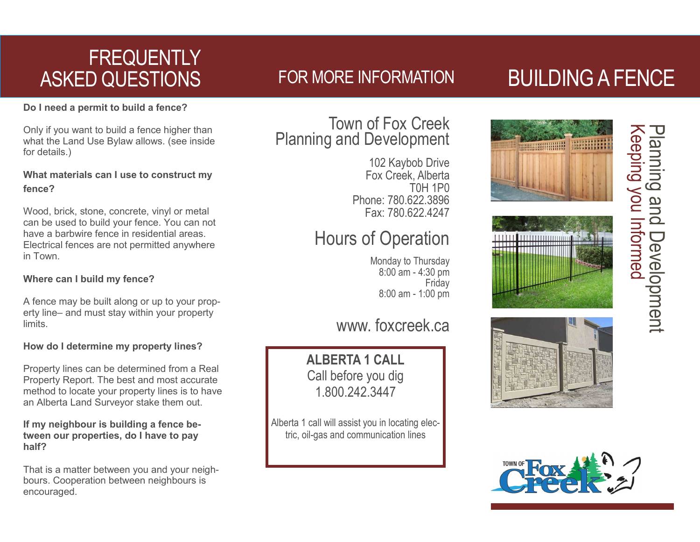# **FREQUENTLY** ASKED QUESTIONS

# FOR MORE INFORMATION

#### **Do I need a permit to build a fence?**

Only if you want to build a fence higher than what the Land Use Bylaw allows. (see inside for details.)

#### **What materials can I use to construct my fence?**

Wood, brick, stone, concrete, vinyl or metal can be used to build your fence. You can not have a barbwire fence in residential areas. Electrical fences are not permitted anywhere in Town.

### **Where can I build my fence?**

A fence may be built along or up to your property line– and must stay within your property limits.

### **How do I determine my property lines?**

Property lines can be determined from a Real Property Report. The best and most accurate method to locate your property lines is to have an Alberta Land Surveyor stake them out.

#### **If my neighbour is building a fence between our properties, do I have to pay half?**

That is a matter between you and your neighbours. Cooperation between neighbours is encouraged.

## Town of Fox Creek Planning and Development

102 Kaybob Drive Fox Creek, Alberta T0H 1P0 Phone: 780.622.3896 Fax: 780.622.4247

# Hours of Operation

Monday to Thursday 8:00 am - 4:30 pm **Friday** 8:00 am - 1:00 pm

## www. foxcreek.ca

**ALBERTA 1 CALL** Call before you dig 1.800.242.3447

Alberta 1 call will assist you in locating electric, oil-gas and communication lines

# BUILDING A FENCE

Keeping you Informed

**Keeping you Informed** 

Planning and Development

Development

pue

planning









i<br>I